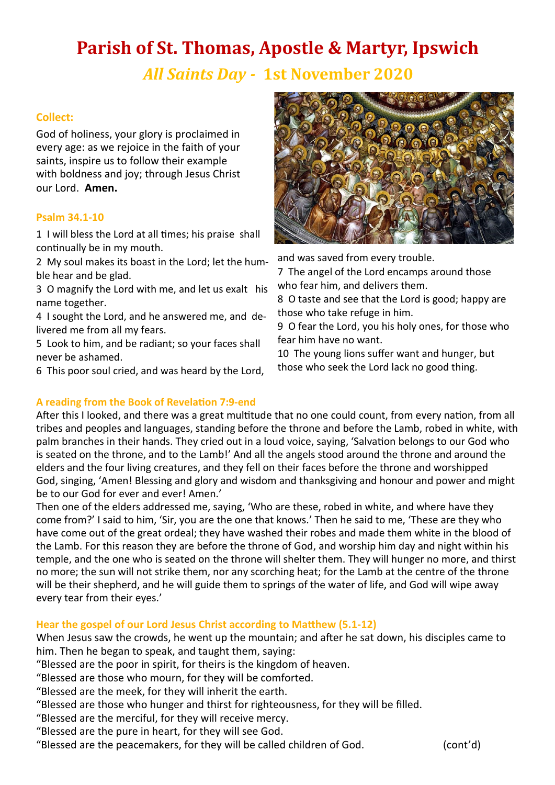# **Parish of St. Thomas, Apostle & Martyr, Ipswich**

*All Saints Day -* **1st November 2020** 

# **Collect:**

God of holiness, your glory is proclaimed in every age: as we rejoice in the faith of your saints, inspire us to follow their example with boldness and joy; through Jesus Christ our Lord. **Amen.**

## **Psalm 34.1-10**

1 I will bless the Lord at all times; his praise shall continually be in my mouth.

2 My soul makes its boast in the Lord; let the humble hear and be glad.

3 O magnify the Lord with me, and let us exalt his name together.

4 I sought the Lord, and he answered me, and delivered me from all my fears.

5 Look to him, and be radiant; so your faces shall never be ashamed.

6 This poor soul cried, and was heard by the Lord,



and was saved from every trouble.

7 The angel of the Lord encamps around those who fear him, and delivers them.

8 O taste and see that the Lord is good; happy are those who take refuge in him.

9 O fear the Lord, you his holy ones, for those who fear him have no want.

10 The young lions suffer want and hunger, but those who seek the Lord lack no good thing.

**A reading from the Book of Revelation 7:9-end** After this I looked, and there was a great multitude that no one could count, from every nation, from all tribes and peoples and languages, standing before the throne and before the Lamb, robed in white, with palm branches in their hands. They cried out in a loud voice, saying, 'Salvation belongs to our God who is seated on the throne, and to the Lamb!' And all the angels stood around the throne and around the elders and the four living creatures, and they fell on their faces before the throne and worshipped God, singing, 'Amen! Blessing and glory and wisdom and thanksgiving and honour and power and might be to our God for ever and ever! Amen.'

Then one of the elders addressed me, saying, 'Who are these, robed in white, and where have they come from?' I said to him, 'Sir, you are the one that knows.' Then he said to me, 'These are they who have come out of the great ordeal; they have washed their robes and made them white in the blood of the Lamb. For this reason they are before the throne of God, and worship him day and night within his temple, and the one who is seated on the throne will shelter them. They will hunger no more, and thirst no more; the sun will not strike them, nor any scorching heat; for the Lamb at the centre of the throne will be their shepherd, and he will guide them to springs of the water of life, and God will wipe away every tear from their eyes.'

# **Hear the gospel of our Lord Jesus Christ according to Matthew (5.1-12)**

When Jesus saw the crowds, he went up the mountain; and after he sat down, his disciples came to him. Then he began to speak, and taught them, saying:

"Blessed are the poor in spirit, for theirs is the kingdom of heaven.

"Blessed are those who mourn, for they will be comforted.

- "Blessed are the meek, for they will inherit the earth.
- "Blessed are those who hunger and thirst for righteousness, for they will be filled.
- "Blessed are the merciful, for they will receive mercy.
- "Blessed are the pure in heart, for they will see God.
- "Blessed are the peacemakers, for they will be called children of God. (cont'd)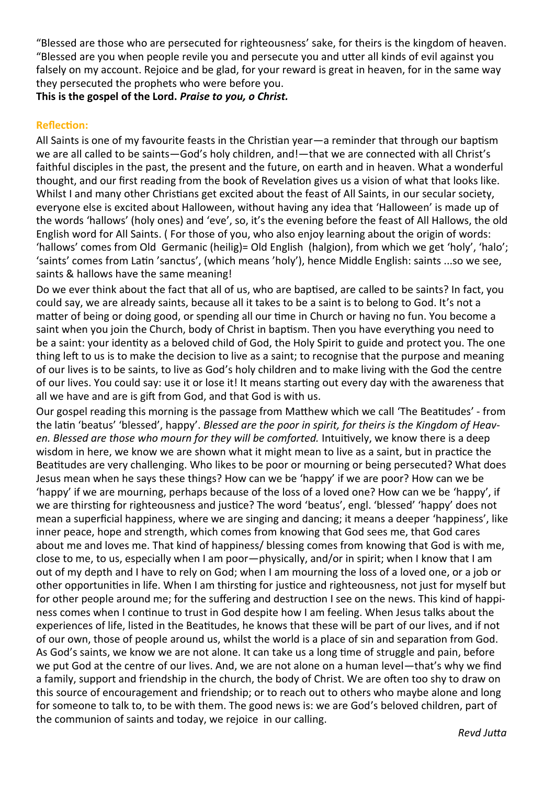"Blessed are those who are persecuted for righteousness' sake, for theirs is the kingdom of heaven. "Blessed are you when people revile you and persecute you and utter all kinds of evil against you falsely on my account. Rejoice and be glad, for your reward is great in heaven, for in the same way they persecuted the prophets who were before you.

**This is the gospel of the Lord.** *Praise to you, o Christ.*

### **Reflection:**

All Saints is one of my favourite feasts in the Christian year—a reminder that through our baptism we are all called to be saints—God's holy children, and!—that we are connected with all Christ's faithful disciples in the past, the present and the future, on earth and in heaven. What a wonderful thought, and our first reading from the book of Revelation gives us a vision of what that looks like. Whilst I and many other Christians get excited about the feast of All Saints, in our secular society, everyone else is excited about Halloween, without having any idea that 'Halloween' is made up of the words 'hallows' (holy ones) and 'eve', so, it's the evening before the feast of All Hallows, the old English word for All Saints. ( For those of you, who also enjoy learning about the origin of words: 'hallows' comes from Old Germanic (heilig)= Old English (halgion), from which we get 'holy', 'halo'; 'saints' comes from Latin 'sanctus', (which means 'holy'), hence Middle English: saints ...so we see, saints & hallows have the same meaning!

Do we ever think about the fact that all of us, who are baptised, are called to be saints? In fact, you could say, we are already saints, because all it takes to be a saint is to belong to God. It's not a matter of being or doing good, or spending all our time in Church or having no fun. You become a saint when you join the Church, body of Christ in baptism. Then you have everything you need to be a saint: your identity as a beloved child of God, the Holy Spirit to guide and protect you. The one thing left to us is to make the decision to live as a saint; to recognise that the purpose and meaning of our lives is to be saints, to live as God's holy children and to make living with the God the centre of our lives. You could say: use it or lose it! It means starting out every day with the awareness that all we have and are is gift from God, and that God is with us.

Our gospel reading this morning is the passage from Matthew which we call 'The Beatitudes' - from the latin 'beatus' 'blessed', happy'. *Blessed are the poor in spirit, for theirs is the Kingdom of Heaven. Blessed are those who mourn for they will be comforted.* Intuitively, we know there is a deep wisdom in here, we know we are shown what it might mean to live as a saint, but in practice the Beatitudes are very challenging. Who likes to be poor or mourning or being persecuted? What does Jesus mean when he says these things? How can we be 'happy' if we are poor? How can we be 'happy' if we are mourning, perhaps because of the loss of a loved one? How can we be 'happy', if we are thirsting for righteousness and justice? The word 'beatus', engl. 'blessed' 'happy' does not mean a superficial happiness, where we are singing and dancing; it means a deeper 'happiness', like inner peace, hope and strength, which comes from knowing that God sees me, that God cares about me and loves me. That kind of happiness/ blessing comes from knowing that God is with me, close to me, to us, especially when I am poor—physically, and/or in spirit; when I know that I am out of my depth and I have to rely on God; when I am mourning the loss of a loved one, or a job or other opportunities in life. When I am thirsting for justice and righteousness, not just for myself but for other people around me; for the suffering and destruction I see on the news. This kind of happiness comes when I continue to trust in God despite how I am feeling. When Jesus talks about the experiences of life, listed in the Beatitudes, he knows that these will be part of our lives, and if not of our own, those of people around us, whilst the world is a place of sin and separation from God. As God's saints, we know we are not alone. It can take us a long time of struggle and pain, before we put God at the centre of our lives. And, we are not alone on a human level—that's why we find a family, support and friendship in the church, the body of Christ. We are often too shy to draw on this source of encouragement and friendship; or to reach out to others who maybe alone and long for someone to talk to, to be with them. The good news is: we are God's beloved children, part of the communion of saints and today, we rejoice in our calling.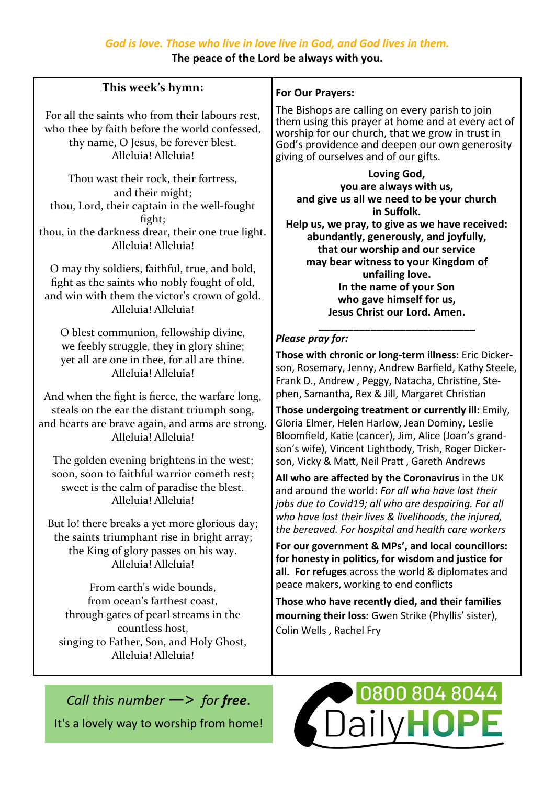**The peace of the Lord be always with you.**

# **This week's hymn:**

For all the saints who from their labours rest, who thee by faith before the world confessed, thy name, O Jesus, be forever blest. Alleluia! Alleluia!

Thou wast their rock, their fortress, and their might; thou, Lord, their captain in the well-fought fight; thou, in the darkness drear, their one true light. Alleluia! Alleluia!

O may thy soldiers, faithful, true, and bold, fight as the saints who nobly fought of old, and win with them the victor's crown of gold. Alleluia! Alleluia!

O blest communion, fellowship divine, we feebly struggle, they in glory shine; yet all are one in thee, for all are thine. Alleluia! Alleluia!

And when the fight is fierce, the warfare long, steals on the ear the distant triumph song, and hearts are brave again, and arms are strong. Alleluia! Alleluia!

The golden evening brightens in the west; soon, soon to faithful warrior cometh rest; sweet is the calm of paradise the blest. Alleluia! Alleluia!

But lo! there breaks a yet more glorious day; the saints triumphant rise in bright array; the King of glory passes on his way. Alleluia! Alleluia!

From earth's wide bounds, from ocean's farthest coast, through gates of pearl streams in the countless host, singing to Father, Son, and Holy Ghost, Alleluia! Alleluia!

# **For Our Prayers:**

The Bishops are calling on every parish to join them using this prayer at home and at every act of worship for our church, that we grow in trust in God's providence and deepen our own generosity giving of ourselves and of our gifts.

**Loving God, you are always with us, and give us all we need to be your church in Suffolk. Help us, we pray, to give as we have received: abundantly, generously, and joyfully, that our worship and our service may bear witness to your Kingdom of unfailing love. In the name of your Son who gave himself for us, Jesus Christ our Lord. Amen. \_\_\_\_\_\_\_\_\_\_\_\_\_\_\_\_\_\_\_\_\_\_\_\_\_\_\_**

# *Please pray for:*

**Those with chronic or long-term illness:** Eric Dickerson, Rosemary, Jenny, Andrew Barfield, Kathy Steele, Frank D., Andrew , Peggy, Natacha, Christine, Stephen, Samantha, Rex & Jill, Margaret Christian

**Those undergoing treatment or currently ill:** Emily, Gloria Elmer, Helen Harlow, Jean Dominy, Leslie Bloomfield, Katie (cancer), Jim, Alice (Joan's grandson's wife), Vincent Lightbody, Trish, Roger Dickerson, Vicky & Matt, Neil Pratt , Gareth Andrews

**All who are affected by the Coronavirus** in the UK and around the world: *For all who have lost their jobs due to Covid19; all who are despairing. For all who have lost their lives & livelihoods, the injured, the bereaved. For hospital and health care workers*

**For our government & MPs', and local councillors: for honesty in politics, for wisdom and justice for all. For refuges** across the world & diplomates and peace makers, working to end conflicts

**Those who have recently died, and their families mourning their loss:** Gwen Strike (Phyllis' sister), Colin Wells , Rachel Fry

*Call this number* —> *for free*. It's a lovely way to worship from home!